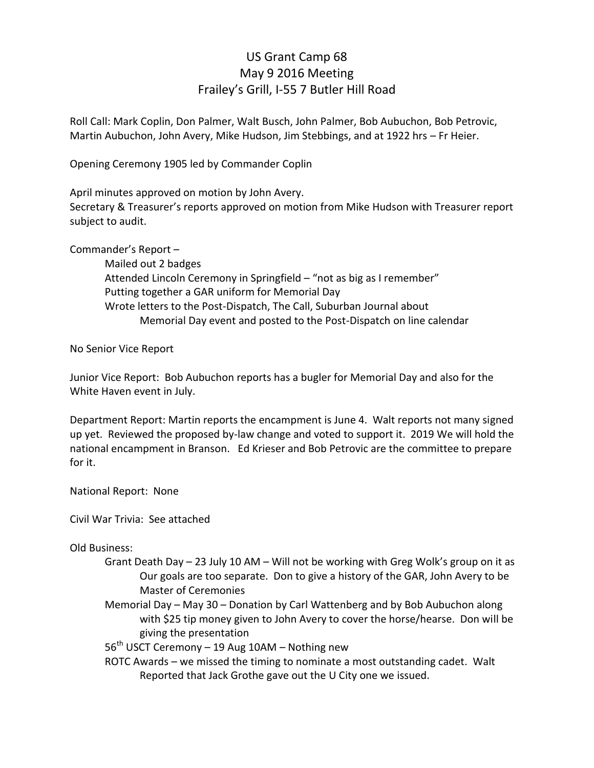## US Grant Camp 68 May 9 2016 Meeting Frailey's Grill, I-55 7 Butler Hill Road

Roll Call: Mark Coplin, Don Palmer, Walt Busch, John Palmer, Bob Aubuchon, Bob Petrovic, Martin Aubuchon, John Avery, Mike Hudson, Jim Stebbings, and at 1922 hrs - Fr Heier.

Opening Ceremony 1905 led by Commander Coplin

April minutes approved on motion by John Avery.

Secretary & Treasurer's reports approved on motion from Mike Hudson with Treasurer report subject to audit.

Commander's Report -

 Mailed out 2 badges Attended Lincoln Ceremony in Springfield – "not as big as I remember" Putting together a GAR uniform for Memorial Day Wrote letters to the Post-Dispatch, The Call, Suburban Journal about Memorial Day event and posted to the Post-Dispatch on line calendar

No Senior Vice Report

Junior Vice Report: Bob Aubuchon reports has a bugler for Memorial Day and also for the White Haven event in July.

Department Report: Martin reports the encampment is June 4. Walt reports not many signed up yet. Reviewed the proposed by-law change and voted to support it. 2019 We will hold the national encampment in Branson. Ed Krieser and Bob Petrovic are the committee to prepare for it.

National Report: None

Civil War Trivia: See attached

Old Business:

- Grant Death Day  $-$  23 July 10 AM  $-$  Will not be working with Greg Wolk's group on it as Our goals are too separate. Don to give a history of the GAR, John Avery to be Master of Ceremonies
- Memorial Day May 30 Donation by Carl Wattenberg and by Bob Aubuchon along with \$25 tip money given to John Avery to cover the horse/hearse. Don will be giving the presentation
- $56<sup>th</sup>$  USCT Ceremony 19 Aug 10AM Nothing new
- ROTC Awards we missed the timing to nominate a most outstanding cadet. Walt Reported that Jack Grothe gave out the U City one we issued.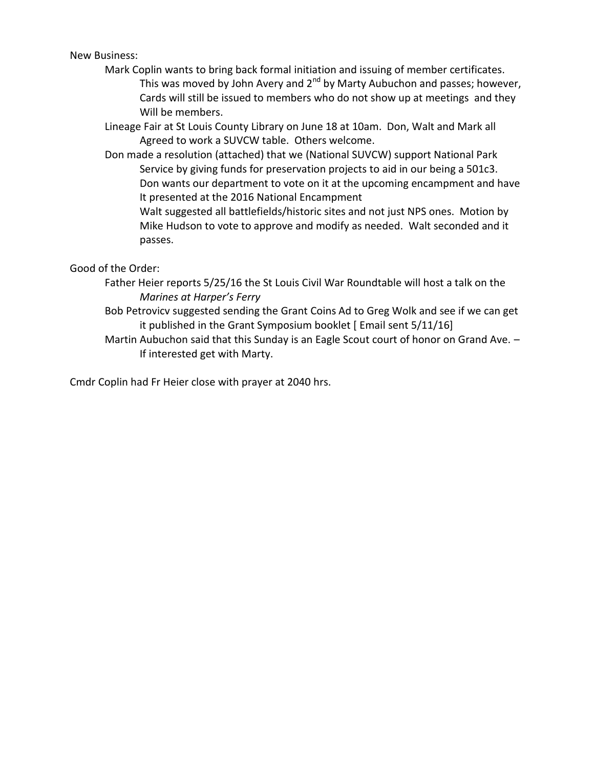New Business:

- Mark Coplin wants to bring back formal initiation and issuing of member certificates. This was moved by John Avery and  $2^{nd}$  by Marty Aubuchon and passes; however, Cards will still be issued to members who do not show up at meetings and they Will be members.
- Lineage Fair at St Louis County Library on June 18 at 10am. Don, Walt and Mark all Agreed to work a SUVCW table. Others welcome.
- Don made a resolution (attached) that we (National SUVCW) support National Park Service by giving funds for preservation projects to aid in our being a 501c3. Don wants our department to vote on it at the upcoming encampment and have It presented at the 2016 National Encampment
	- Walt suggested all battlefields/historic sites and not just NPS ones. Motion by Mike Hudson to vote to approve and modify as needed. Walt seconded and it passes.

Good of the Order:

- Father Heier reports 5/25/16 the St Louis Civil War Roundtable will host a talk on the *Marines at Harper's Ferry*
- Bob Petrovicv suggested sending the Grant Coins Ad to Greg Wolk and see if we can get it published in the Grant Symposium booklet  $\lceil$  Email sent  $5/11/16\rceil$
- Martin Aubuchon said that this Sunday is an Eagle Scout court of honor on Grand Ave.  $-$ If interested get with Marty.

Cmdr Coplin had Fr Heier close with prayer at 2040 hrs.